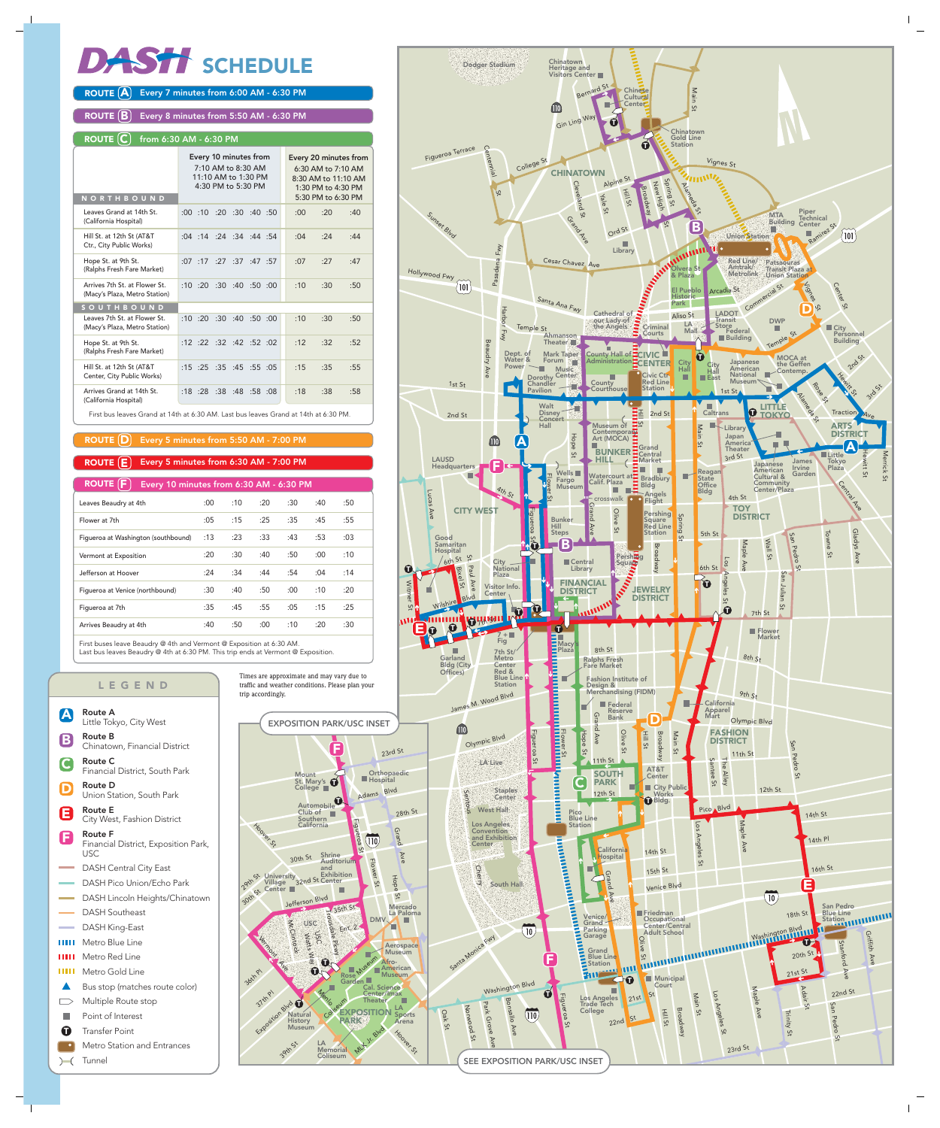# DASH SCHEDULE

#### ROUTE  $\left[\mathbf{A}\right]$  Every 7 minutes from 6:00 AM - 6:30 PM

Every 8 minutes from 5:50 AM - 6:30 PM ROUTE  $(B)$ 

#### ROUTE  $(C)$  from 6:30 AM - 6:30 PM







- Route F Financial District, Exposition Park, USC F
- DASH Central City East
- DASH Pico Union/Echo Park
- DASH Lincoln Heights/Chinatown
- DASH Southeast
- DASH King-East
- **HIII** Metro Blue Line
- Metro Red Line ш
- шш Metro Gold Line
- Bus stop (matches route color)  $\blacktriangle$
- $\qquad \qquad \Box$ Multiple Route stop
- T. Point of Interest
- Transfer Point  $\mathbf \Omega$
- Metro Station and Entrances
- Tunnel

First buses leave Beaudry @ 4th and Vermont @ Exposition at 6:30 AM. Last bus leaves Beaudry @ 4th at 6:30 PM. This trip ends at Vermont @ Exposition.

| <b>ROUTE F</b><br>Every 10 minutes from 6:30 AM - 6:30 PM |      |     |     |     |     |     |  |
|-----------------------------------------------------------|------|-----|-----|-----|-----|-----|--|
| Leaves Beaudry at 4th                                     | :00: | :10 | :20 | :30 | :40 | :50 |  |
| Flower at 7th                                             | :05  | :15 | :25 | :35 | :45 | :55 |  |
| Figueroa at Washington (southbound)                       | :13  | :23 | :33 | :43 | :53 | :03 |  |
| Vermont at Exposition                                     | :20  | :30 | :40 | :50 | :00 | :10 |  |
| Jefferson at Hoover                                       | :24  | :34 | :44 | :54 | :04 | :14 |  |
| Figueroa at Venice (northbound)                           | :30  | :40 | :50 | :00 | :10 | :20 |  |
| Figueroa at 7th                                           | :35  | :45 | :55 | :05 | :15 | :25 |  |
| Arrives Beaudry at 4th                                    | :40  | :50 | :00 | :10 | :20 | :30 |  |

| <b>NORTHBOUND</b>                                              | Every 10 minutes from<br>7:10 AM to 8:30 AM<br>11:10 AM to 1:30 PM<br>4:30 PM to 5:30 PM | Every 20 minutes from<br>6:30 AM to 7:10 AM<br>8:30 AM to 11:10 AM<br>1:30 PM to 4:30 PM<br>5:30 PM to 6:30 PM |
|----------------------------------------------------------------|------------------------------------------------------------------------------------------|----------------------------------------------------------------------------------------------------------------|
| Leaves Grand at 14th St.<br>(California Hospital)              | :00:10:20:30:40:50                                                                       | :00:<br>:20<br>:40                                                                                             |
| Hill St. at 12th St (AT&T<br>Ctr., City Public Works)          | $:04$ : 14 : 24 : 34 : 44 : 54                                                           | :04<br>:24<br>:44                                                                                              |
| Hope St. at 9th St.<br>(Ralphs Fresh Fare Market)              | :27:37<br>:07:17<br>:47:57                                                               | :07<br>:27<br>:47                                                                                              |
| Arrives 7th St. at Flower St.<br>(Macy's Plaza, Metro Station) | :10:20:30:40:50:00                                                                       | :10<br>:30<br>:50                                                                                              |
| <b>SOUTHBOUND</b>                                              |                                                                                          |                                                                                                                |
| Leaves 7th St. at Flower St.<br>(Macy's Plaza, Metro Station)  | :10 :20<br>:30:40:50:00                                                                  | :10<br>:30<br>:50                                                                                              |
| Hope St. at 9th St.<br>(Ralphs Fresh Fare Market)              | $:12$ $:22$ $:32$ $:42$ $:52$ $:02$                                                      | :12<br>:32<br>:52                                                                                              |
| Hill St. at 12th St (AT&T<br>Center, City Public Works)        | $:15$ $:25$ $:35$ $:45$ $:55$ $:05$                                                      | :15<br>:35<br>:55                                                                                              |
| Arrives Grand at 14th St.<br>(California Hospital)             | :18:28:38<br>:48 :58 :08                                                                 | :18<br>:38<br>:58                                                                                              |
|                                                                |                                                                                          |                                                                                                                |

#### $\texttt{ROUTE} \left( \textbf{E} \right)$  Every 5 minutes from 6:30 AM - 7:00 PM